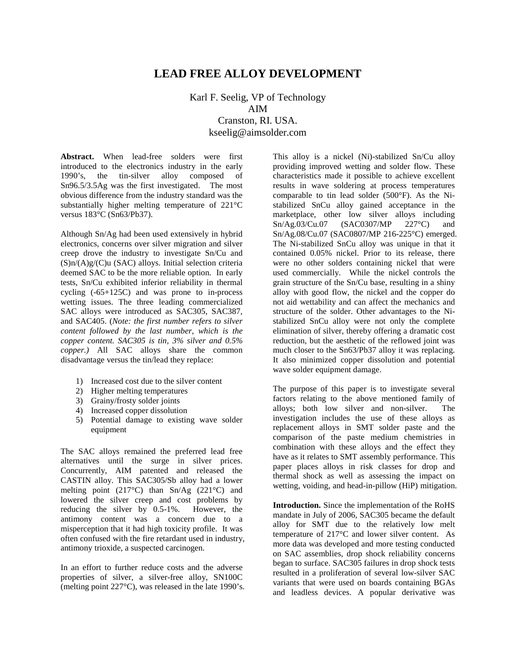# **LEAD FREE ALLOY DEVELOPMENT**

Karl F. Seelig, VP of Technology AIM Cranston, RI. USA. kseelig@aimsolder.com

**Abstract.** When lead-free solders were first introduced to the electronics industry in the early 1990's, the tin-silver alloy composed of Sn96.5/3.5Ag was the first investigated. The most obvious difference from the industry standard was the substantially higher melting temperature of 221°C versus 183°C (Sn63/Pb37).

Although Sn/Ag had been used extensively in hybrid electronics, concerns over silver migration and silver creep drove the industry to investigate Sn/Cu and  $(S)$ n/ $(A)$ g/ $(C)$ u (SAC) alloys. Initial selection criteria deemed SAC to be the more reliable option. In early tests, Sn/Cu exhibited inferior reliability in thermal cycling (-65+125C) and was prone to in-process wetting issues. The three leading commercialized SAC alloys were introduced as SAC305, SAC387, and SAC405. (*Note: the first number refers to silver content followed by the last number, which is the copper content. SAC305 is tin, 3% silver and 0.5% copper.)* All SAC alloys share the common disadvantage versus the tin/lead they replace:

- 1) Increased cost due to the silver content
- 2) Higher melting temperatures
- 3) Grainy/frosty solder joints
- 4) Increased copper dissolution
- 5) Potential damage to existing wave solder equipment

The SAC alloys remained the preferred lead free alternatives until the surge in silver prices. Concurrently, AIM patented and released the CASTIN alloy. This SAC305/Sb alloy had a lower melting point (217°C) than Sn/Ag (221°C) and lowered the silver creep and cost problems by reducing the silver by 0.5-1%. However, the antimony content was a concern due to a misperception that it had high toxicity profile. It was often confused with the fire retardant used in industry, antimony trioxide, a suspected carcinogen.

In an effort to further reduce costs and the adverse properties of silver, a silver-free alloy, SN100C (melting point 227°C), was released in the late 1990's.

This alloy is a nickel (Ni)-stabilized Sn/Cu alloy providing improved wetting and solder flow. These characteristics made it possible to achieve excellent results in wave soldering at process temperatures comparable to tin lead solder (500°F). As the Nistabilized SnCu alloy gained acceptance in the marketplace, other low silver alloys including Sn/Ag.03/Cu.07 (SAC0307/MP 227°C) and Sn/Ag.08/Cu.07 (SAC0807/MP 216-225°C) emerged. The Ni-stabilized SnCu alloy was unique in that it contained 0.05% nickel. Prior to its release, there were no other solders containing nickel that were used commercially. While the nickel controls the grain structure of the Sn/Cu base, resulting in a shiny alloy with good flow, the nickel and the copper do not aid wettability and can affect the mechanics and structure of the solder. Other advantages to the Nistabilized SnCu alloy were not only the complete elimination of silver, thereby offering a dramatic cost reduction, but the aesthetic of the reflowed joint was much closer to the Sn63/Pb37 alloy it was replacing. It also minimized copper dissolution and potential wave solder equipment damage.

The purpose of this paper is to investigate several factors relating to the above mentioned family of alloys; both low silver and non-silver. The investigation includes the use of these alloys as replacement alloys in SMT solder paste and the comparison of the paste medium chemistries in combination with these alloys and the effect they have as it relates to SMT assembly performance. This paper places alloys in risk classes for drop and thermal shock as well as assessing the impact on wetting, voiding, and head-in-pillow (HiP) mitigation.

**Introduction.** Since the implementation of the RoHS mandate in July of 2006, SAC305 became the default alloy for SMT due to the relatively low melt temperature of 217°C and lower silver content. As more data was developed and more testing conducted on SAC assemblies, drop shock reliability concerns began to surface. SAC305 failures in drop shock tests resulted in a proliferation of several low-silver SAC variants that were used on boards containing BGAs and leadless devices. A popular derivative was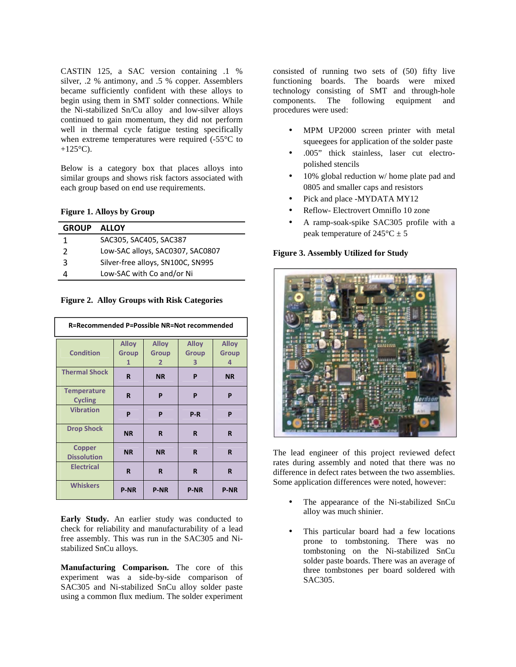CASTIN 125, a SAC version containing .1 % silver, .2 % antimony, and .5 % copper. Assemblers became sufficiently confident with these alloys to begin using them in SMT solder connections. While the Ni-stabilized Sn/Cu alloy and low-silver alloys continued to gain momentum, they did not perform well in thermal cycle fatigue testing specifically when extreme temperatures were required (-55°C to  $+125$ °C).

Below is a category box that places alloys into similar groups and shows risk factors associated with each group based on end use requirements.

### **Figure 1. Alloys by Group**

| <b>GROUP</b>  | <b>ALLOY</b>                      |
|---------------|-----------------------------------|
| 1             | SAC305, SAC405, SAC387            |
| $\mathcal{P}$ | Low-SAC alloys, SAC0307, SAC0807  |
| 3             | Silver-free alloys, SN100C, SN995 |
|               | Low-SAC with Co and/or Ni         |

**Figure 2. Alloy Groups with Risk Categories** 

| R=Recommended P=Possible NR=Not recommended |                                   |                                                |                                   |                                   |
|---------------------------------------------|-----------------------------------|------------------------------------------------|-----------------------------------|-----------------------------------|
| <b>Condition</b>                            | <b>Alloy</b><br><b>Group</b><br>1 | <b>Alloy</b><br><b>Group</b><br>$\overline{2}$ | <b>Alloy</b><br><b>Group</b><br>3 | <b>Alloy</b><br><b>Group</b><br>4 |
| <b>Thermal Shock</b>                        | R                                 | <b>NR</b>                                      | P                                 | <b>NR</b>                         |
| <b>Temperature</b><br><b>Cycling</b>        | R                                 | P                                              | P                                 | P                                 |
| <b>Vibration</b>                            | P                                 | P                                              | $P-R$                             | P                                 |
| <b>Drop Shock</b>                           | <b>NR</b>                         | R                                              | R                                 | R                                 |
| <b>Copper</b><br><b>Dissolution</b>         | <b>NR</b>                         | <b>NR</b>                                      | R                                 | R                                 |
| <b>Electrical</b>                           | R                                 | R                                              | R                                 | R                                 |
| <b>Whiskers</b>                             | <b>P-NR</b>                       | <b>P-NR</b>                                    | <b>P-NR</b>                       | <b>P-NR</b>                       |

**Early Study.** An earlier study was conducted to check for reliability and manufacturability of a lead free assembly. This was run in the SAC305 and Nistabilized SnCu alloys.

**Manufacturing Comparison.** The core of this experiment was a side-by-side comparison of SAC305 and Ni-stabilized SnCu alloy solder paste using a common flux medium. The solder experiment

consisted of running two sets of (50) fifty live functioning boards. The boards were mixed technology consisting of SMT and through-hole components. The following equipment and procedures were used:

- MPM UP2000 screen printer with metal squeegees for application of the solder paste
- .005" thick stainless, laser cut electropolished stencils
- 10% global reduction w/ home plate pad and 0805 and smaller caps and resistors
- Pick and place -MYDATA MY12
- Reflow- Electrovert Omniflo 10 zone
- A ramp-soak-spike SAC305 profile with a peak temperature of  $245^{\circ}C \pm 5$

#### **Figure 3. Assembly Utilized for Study**



The lead engineer of this project reviewed defect rates during assembly and noted that there was no difference in defect rates between the two assemblies. Some application differences were noted, however:

- The appearance of the Ni-stabilized SnCu alloy was much shinier.
- This particular board had a few locations prone to tombstoning. There was no tombstoning on the Ni-stabilized SnCu solder paste boards. There was an average of three tombstones per board soldered with SAC305.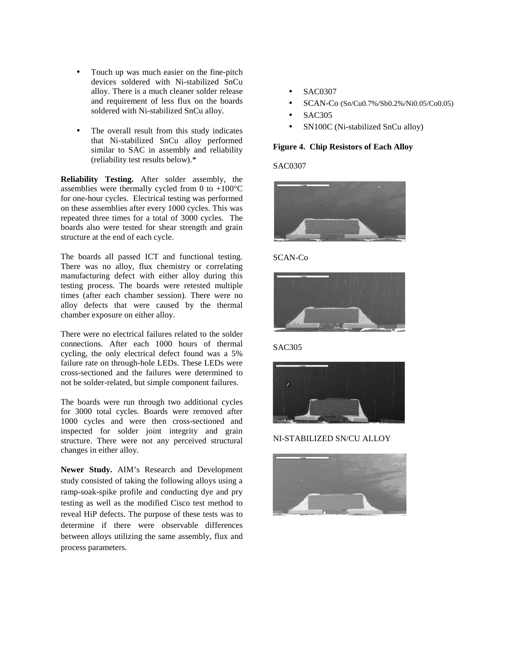- Touch up was much easier on the fine-pitch devices soldered with Ni-stabilized SnCu alloy. There is a much cleaner solder release and requirement of less flux on the boards soldered with Ni-stabilized SnCu alloy.
- The overall result from this study indicates that Ni-stabilized SnCu alloy performed similar to SAC in assembly and reliability (reliability test results below).\*

**Reliability Testing.** After solder assembly, the assemblies were thermally cycled from 0 to  $+100^{\circ}$ C for one-hour cycles. Electrical testing was performed on these assemblies after every 1000 cycles. This was repeated three times for a total of 3000 cycles. The boards also were tested for shear strength and grain structure at the end of each cycle.

The boards all passed ICT and functional testing. There was no alloy, flux chemistry or correlating manufacturing defect with either alloy during this testing process. The boards were retested multiple times (after each chamber session). There were no alloy defects that were caused by the thermal chamber exposure on either alloy.

There were no electrical failures related to the solder connections. After each 1000 hours of thermal cycling, the only electrical defect found was a 5% failure rate on through-hole LEDs. These LEDs were cross-sectioned and the failures were determined to not be solder-related, but simple component failures.

The boards were run through two additional cycles for 3000 total cycles. Boards were removed after 1000 cycles and were then cross-sectioned and inspected for solder joint integrity and grain structure. There were not any perceived structural changes in either alloy.

**Newer Study.** AIM's Research and Development study consisted of taking the following alloys using a ramp-soak-spike profile and conducting dye and pry testing as well as the modified Cisco test method to reveal HiP defects. The purpose of these tests was to determine if there were observable differences between alloys utilizing the same assembly, flux and process parameters.

- SAC0307
- SCAN-Co (Sn/Cu0.7%/Sb0.2%/Ni0.05/Co0.05)
- SAC305
- SN100C (Ni-stabilized SnCu alloy)

### **Figure 4. Chip Resistors of Each Alloy**

SAC0307



### SCAN-Co



SAC305



NI-STABILIZED SN/CU ALLOY

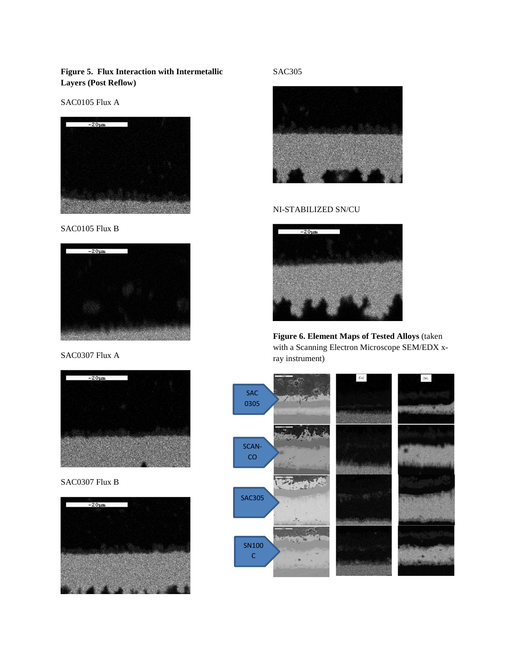**Figure 5. Flux Interaction with Intermetallic Layers (Post Reflow)** 

SAC0105 Flux A



SAC0105 Flux B



SAC0307 Flux A



SAC0307 Flux B



SAC305



## NI-STABILIZED SN/CU



**Figure 6. Element Maps of Tested Alloys** (taken with a Scanning Electron Microscope SEM/EDX xray instrument)

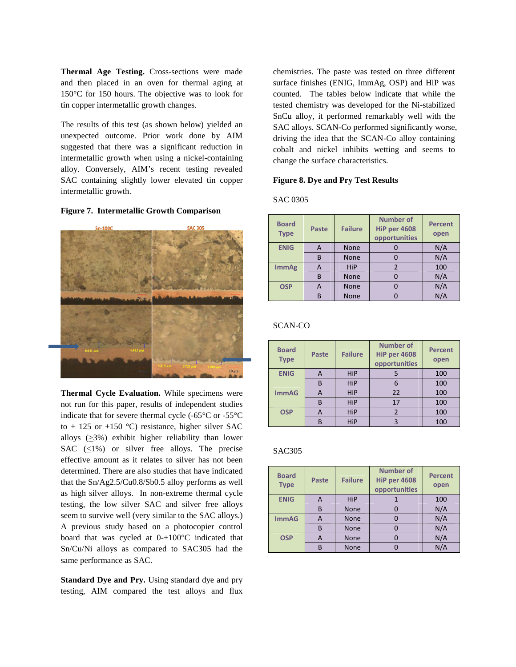**Thermal Age Testing.** Cross-sections were made and then placed in an oven for thermal aging at 150°C for 150 hours. The objective was to look for tin copper intermetallic growth changes.

The results of this test (as shown below) yielded an unexpected outcome. Prior work done by AIM suggested that there was a significant reduction in intermetallic growth when using a nickel-containing alloy. Conversely, AIM's recent testing revealed SAC containing slightly lower elevated tin copper intermetallic growth.

#### **Figure 7. Intermetallic Growth Comparison**



**Thermal Cycle Evaluation.** While specimens were not run for this paper, results of independent studies indicate that for severe thermal cycle (-65°C or -55°C to + 125 or +150  $^{\circ}$ C) resistance, higher silver SAC alloys (>3%) exhibit higher reliability than lower SAC  $(\langle 1\% \rangle)$  or silver free alloys. The precise effective amount as it relates to silver has not been determined. There are also studies that have indicated that the Sn/Ag2.5/Cu0.8/Sb0.5 alloy performs as well as high silver alloys. In non-extreme thermal cycle testing, the low silver SAC and silver free alloys seem to survive well (very similar to the SAC alloys.) A previous study based on a photocopier control board that was cycled at 0-+100°C indicated that Sn/Cu/Ni alloys as compared to SAC305 had the same performance as SAC.

**Standard Dye and Pry.** Using standard dye and pry testing, AIM compared the test alloys and flux chemistries. The paste was tested on three different surface finishes (ENIG, ImmAg, OSP) and HiP was counted. The tables below indicate that while the tested chemistry was developed for the Ni-stabilized SnCu alloy, it performed remarkably well with the SAC alloys. SCAN-Co performed significantly worse, driving the idea that the SCAN-Co alloy containing cobalt and nickel inhibits wetting and seems to change the surface characteristics.

#### **Figure 8. Dye and Pry Test Results**

SAC 0305

| <b>Board</b><br><b>Type</b> | Paste | <b>Failure</b> | <b>Number of</b><br><b>HiP per 4608</b><br>opportunities | <b>Percent</b><br>open |
|-----------------------------|-------|----------------|----------------------------------------------------------|------------------------|
| <b>ENIG</b>                 | A     | <b>None</b>    |                                                          | N/A                    |
|                             | B     | <b>None</b>    |                                                          | N/A                    |
| <b>ImmAg</b>                | A     | HiP            |                                                          | 100                    |
|                             | B     | <b>None</b>    |                                                          | N/A                    |
| <b>OSP</b>                  | A     | <b>None</b>    |                                                          | N/A                    |
|                             | R     | None           |                                                          | N/A                    |

#### SCAN-CO

| <b>Board</b><br><b>Type</b> | Paste | <b>Failure</b> | <b>Number of</b><br><b>HiP per 4608</b><br>opportunities | <b>Percent</b><br>open |
|-----------------------------|-------|----------------|----------------------------------------------------------|------------------------|
| <b>ENIG</b>                 | А     | <b>HiP</b>     |                                                          | 100                    |
|                             | B     | <b>HiP</b>     |                                                          | 100                    |
| <b>ImmAG</b>                | А     | <b>HiP</b>     | 22                                                       | 100                    |
|                             | B     | <b>HiP</b>     | 17                                                       | 100                    |
| <b>OSP</b>                  | A     | <b>HiP</b>     |                                                          | 100                    |
|                             | B     | HiP            | ς                                                        | 100                    |

#### SAC305

| <b>Board</b><br><b>Type</b> | Paste | <b>Failure</b> | <b>Number of</b><br><b>HiP per 4608</b><br>opportunities | <b>Percent</b><br>open |
|-----------------------------|-------|----------------|----------------------------------------------------------|------------------------|
| <b>ENIG</b>                 | A     | <b>HiP</b>     |                                                          | 100                    |
|                             | B     | <b>None</b>    |                                                          | N/A                    |
| <b>ImmAG</b>                | А     | <b>None</b>    |                                                          | N/A                    |
|                             | B     | <b>None</b>    |                                                          | N/A                    |
| <b>OSP</b>                  | А     | <b>None</b>    |                                                          | N/A                    |
|                             | В     | <b>None</b>    |                                                          | N/A                    |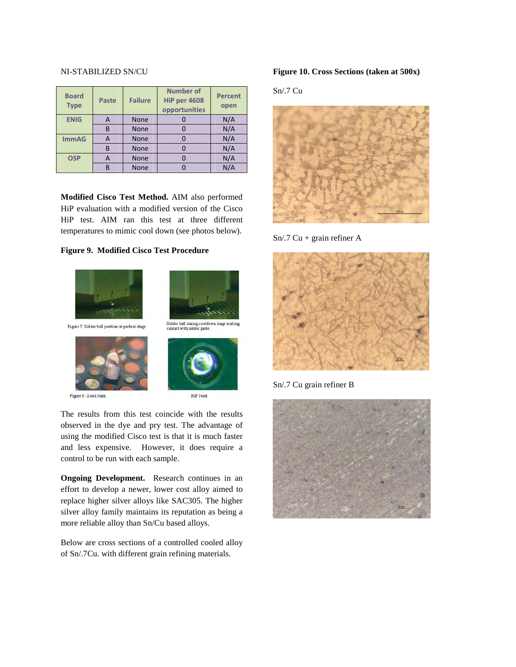#### NI-STABILIZED SN/CU

| <b>Board</b><br><b>Type</b> | <b>Paste</b> | <b>Failure</b> | <b>Number of</b><br><b>HiP per 4608</b><br>opportunities | <b>Percent</b><br>open |
|-----------------------------|--------------|----------------|----------------------------------------------------------|------------------------|
| <b>ENIG</b>                 | A            | <b>None</b>    |                                                          | N/A                    |
|                             | B            | <b>None</b>    |                                                          | N/A                    |
| <b>ImmAG</b>                | A            | <b>None</b>    |                                                          | N/A                    |
|                             | В            | <b>None</b>    |                                                          | N/A                    |
| <b>OSP</b>                  | А            | <b>None</b>    |                                                          | N/A                    |
|                             | B            | None           |                                                          | N/A                    |

**Modified Cisco Test Method.** AIM also performed HiP evaluation with a modified version of the Cisco HiP test. AIM ran this test at three different temperatures to mimic cool down (see photos below).

## **Figure 9. Modified Cisco Test Procedure**



The results from this test coincide with the results observed in the dye and pry test. The advantage of using the modified Cisco test is that it is much faster and less expensive. However, it does require a control to be run with each sample.

**Ongoing Development.** Research continues in an effort to develop a newer, lower cost alloy aimed to replace higher silver alloys like SAC305. The higher silver alloy family maintains its reputation as being a more reliable alloy than Sn/Cu based alloys.

Below are cross sections of a controlled cooled alloy of Sn/.7Cu. with different grain refining materials.

#### **Figure 10. Cross Sections (taken at 500x)**

Sn/.7 Cu



 $Sn/.7$  Cu + grain refiner A



Sn/.7 Cu grain refiner B